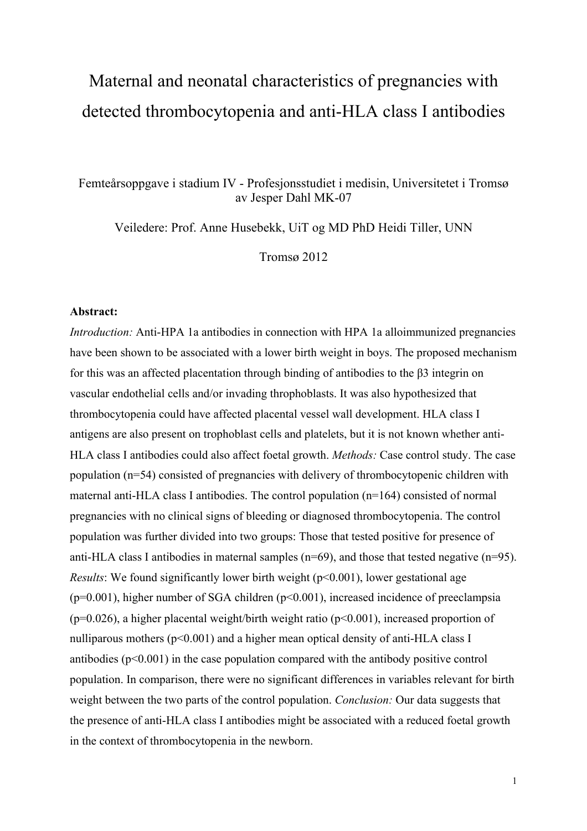# Maternal and neonatal characteristics of pregnancies with detected thrombocytopenia and anti-HLA class I antibodies

Femteårsoppgave i stadium IV - Profesjonsstudiet i medisin, Universitetet i Tromsø av Jesper Dahl MK-07

Veiledere: Prof. Anne Husebekk, UiT og MD PhD Heidi Tiller, UNN

Tromsø 2012

#### **Abstract:**

*Introduction:* Anti-HPA 1a antibodies in connection with HPA 1a alloimmunized pregnancies have been shown to be associated with a lower birth weight in boys. The proposed mechanism for this was an affected placentation through binding of antibodies to the β3 integrin on vascular endothelial cells and/or invading throphoblasts. It was also hypothesized that thrombocytopenia could have affected placental vessel wall development. HLA class I antigens are also present on trophoblast cells and platelets, but it is not known whether anti-HLA class I antibodies could also affect foetal growth. *Methods:* Case control study. The case population (n=54) consisted of pregnancies with delivery of thrombocytopenic children with maternal anti-HLA class I antibodies. The control population (n=164) consisted of normal pregnancies with no clinical signs of bleeding or diagnosed thrombocytopenia. The control population was further divided into two groups: Those that tested positive for presence of anti-HLA class I antibodies in maternal samples (n=69), and those that tested negative (n=95). *Results*: We found significantly lower birth weight ( $p<0.001$ ), lower gestational age  $(p=0.001)$ , higher number of SGA children  $(p<0.001)$ , increased incidence of preeclampsia  $(p=0.026)$ , a higher placental weight/birth weight ratio  $(p<0.001)$ , increased proportion of nulliparous mothers  $(p<0.001)$  and a higher mean optical density of anti-HLA class I antibodies  $(p<0.001)$  in the case population compared with the antibody positive control population. In comparison, there were no significant differences in variables relevant for birth weight between the two parts of the control population. *Conclusion:* Our data suggests that the presence of anti-HLA class I antibodies might be associated with a reduced foetal growth in the context of thrombocytopenia in the newborn.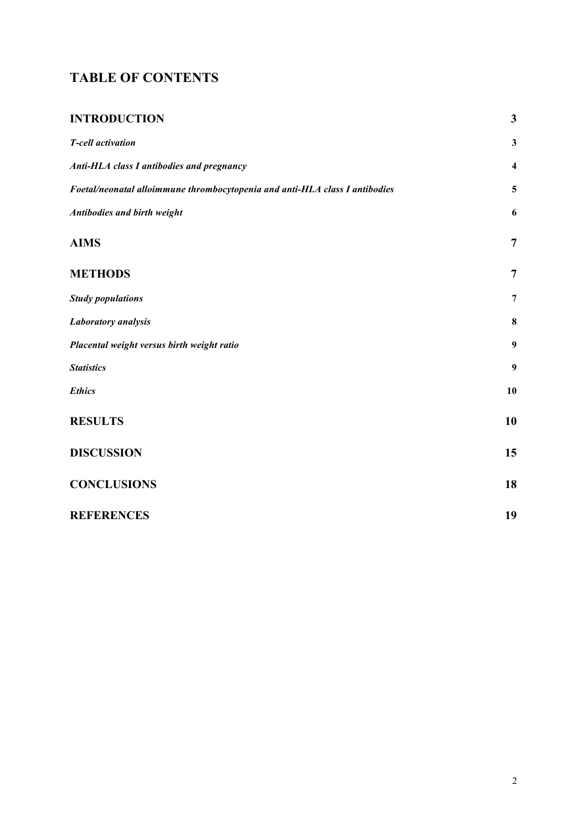## **TABLE OF CONTENTS**

| <b>INTRODUCTION</b>                                                         | $\mathbf{3}$            |
|-----------------------------------------------------------------------------|-------------------------|
| <b>T-cell activation</b>                                                    | $\mathbf{3}$            |
| <b>Anti-HLA class I antibodies and pregnancy</b>                            | $\overline{\mathbf{4}}$ |
| Foetal/neonatal alloimmune thrombocytopenia and anti-HLA class I antibodies | 5                       |
| <b>Antibodies and birth weight</b>                                          | 6                       |
| <b>AIMS</b>                                                                 | $\overline{7}$          |
| <b>METHODS</b>                                                              | $\overline{7}$          |
| <b>Study populations</b>                                                    | $\overline{7}$          |
| <b>Laboratory</b> analysis                                                  | 8                       |
| Placental weight versus birth weight ratio                                  | $\boldsymbol{9}$        |
| <b>Statistics</b>                                                           | 9                       |
| <b>Ethics</b>                                                               | 10                      |
| <b>RESULTS</b>                                                              | 10                      |
| <b>DISCUSSION</b>                                                           | 15                      |
| <b>CONCLUSIONS</b>                                                          | 18                      |
| <b>REFERENCES</b>                                                           | 19                      |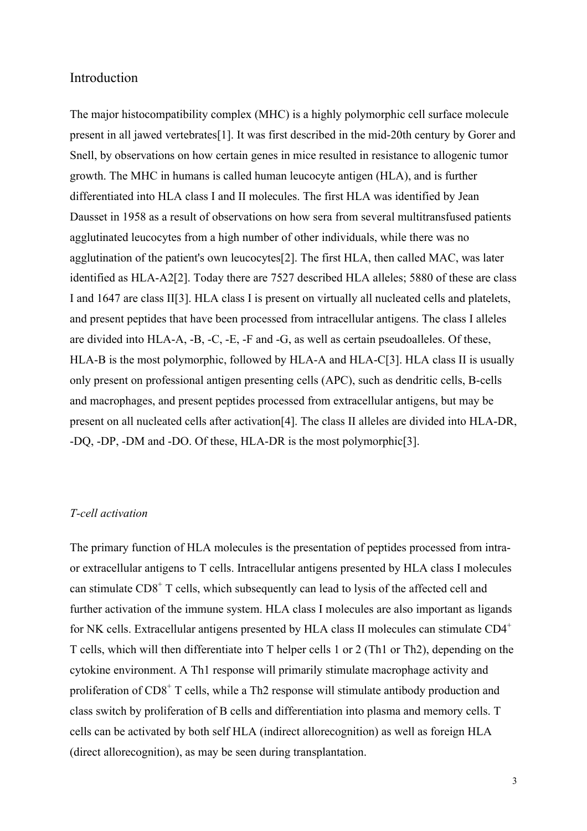## Introduction

The major histocompatibility complex (MHC) is a highly polymorphic cell surface molecule present in all jawed vertebrates[1]. It was first described in the mid-20th century by Gorer and Snell, by observations on how certain genes in mice resulted in resistance to allogenic tumor growth. The MHC in humans is called human leucocyte antigen (HLA), and is further differentiated into HLA class I and II molecules. The first HLA was identified by Jean Dausset in 1958 as a result of observations on how sera from several multitransfused patients agglutinated leucocytes from a high number of other individuals, while there was no agglutination of the patient's own leucocytes[2]. The first HLA, then called MAC, was later identified as HLA-A2[2]. Today there are 7527 described HLA alleles; 5880 of these are class I and 1647 are class II[3]. HLA class I is present on virtually all nucleated cells and platelets, and present peptides that have been processed from intracellular antigens. The class I alleles are divided into HLA-A, -B, -C, -E, -F and -G, as well as certain pseudoalleles. Of these, HLA-B is the most polymorphic, followed by HLA-A and HLA-C[3]. HLA class II is usually only present on professional antigen presenting cells (APC), such as dendritic cells, B-cells and macrophages, and present peptides processed from extracellular antigens, but may be present on all nucleated cells after activation[4]. The class II alleles are divided into HLA-DR, -DQ, -DP, -DM and -DO. Of these, HLA-DR is the most polymorphic[3].

## *T-cell activation*

The primary function of HLA molecules is the presentation of peptides processed from intraor extracellular antigens to T cells. Intracellular antigens presented by HLA class I molecules can stimulate CD8<sup>+</sup> T cells, which subsequently can lead to lysis of the affected cell and further activation of the immune system. HLA class I molecules are also important as ligands for NK cells. Extracellular antigens presented by HLA class II molecules can stimulate CD4<sup>+</sup> T cells, which will then differentiate into T helper cells 1 or 2 (Th1 or Th2), depending on the cytokine environment. A Th1 response will primarily stimulate macrophage activity and proliferation of CD8<sup>+</sup> T cells, while a Th2 response will stimulate antibody production and class switch by proliferation of B cells and differentiation into plasma and memory cells. T cells can be activated by both self HLA (indirect allorecognition) as well as foreign HLA (direct allorecognition), as may be seen during transplantation.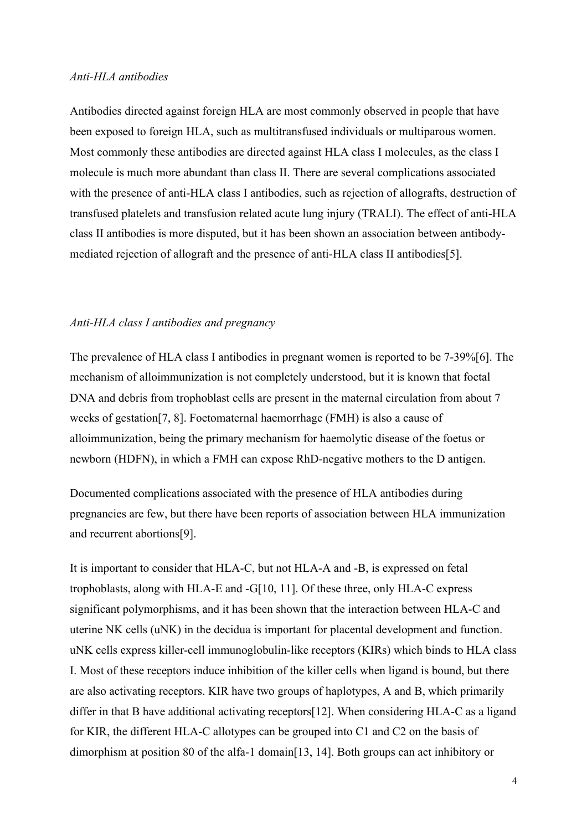### *Anti-HLA antibodies*

Antibodies directed against foreign HLA are most commonly observed in people that have been exposed to foreign HLA, such as multitransfused individuals or multiparous women. Most commonly these antibodies are directed against HLA class I molecules, as the class I molecule is much more abundant than class II. There are several complications associated with the presence of anti-HLA class I antibodies, such as rejection of allografts, destruction of transfused platelets and transfusion related acute lung injury (TRALI). The effect of anti-HLA class II antibodies is more disputed, but it has been shown an association between antibodymediated rejection of allograft and the presence of anti-HLA class II antibodies[5].

### *Anti-HLA class I antibodies and pregnancy*

The prevalence of HLA class I antibodies in pregnant women is reported to be 7-39%[6]. The mechanism of alloimmunization is not completely understood, but it is known that foetal DNA and debris from trophoblast cells are present in the maternal circulation from about 7 weeks of gestation[7, 8]. Foetomaternal haemorrhage (FMH) is also a cause of alloimmunization, being the primary mechanism for haemolytic disease of the foetus or newborn (HDFN), in which a FMH can expose RhD-negative mothers to the D antigen.

Documented complications associated with the presence of HLA antibodies during pregnancies are few, but there have been reports of association between HLA immunization and recurrent abortions[9].

It is important to consider that HLA-C, but not HLA-A and -B, is expressed on fetal trophoblasts, along with HLA-E and -G[10, 11]. Of these three, only HLA-C express significant polymorphisms, and it has been shown that the interaction between HLA-C and uterine NK cells (uNK) in the decidua is important for placental development and function. uNK cells express killer-cell immunoglobulin-like receptors (KIRs) which binds to HLA class I. Most of these receptors induce inhibition of the killer cells when ligand is bound, but there are also activating receptors. KIR have two groups of haplotypes, A and B, which primarily differ in that B have additional activating receptors[12]. When considering HLA-C as a ligand for KIR, the different HLA-C allotypes can be grouped into C1 and C2 on the basis of dimorphism at position 80 of the alfa-1 domain[13, 14]. Both groups can act inhibitory or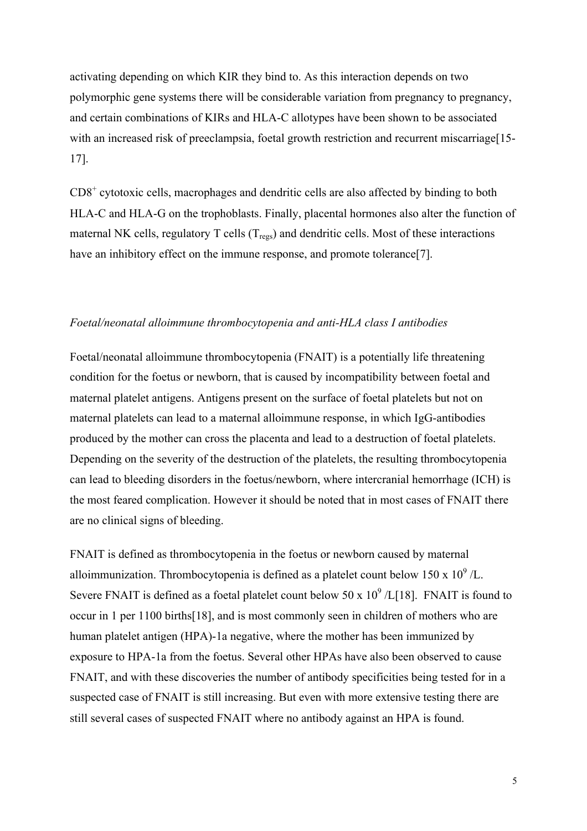activating depending on which KIR they bind to. As this interaction depends on two polymorphic gene systems there will be considerable variation from pregnancy to pregnancy, and certain combinations of KIRs and HLA-C allotypes have been shown to be associated with an increased risk of preeclampsia, foetal growth restriction and recurrent miscarriage[15-17].

 $CD8<sup>+</sup>$  cytotoxic cells, macrophages and dendritic cells are also affected by binding to both HLA-C and HLA-G on the trophoblasts. Finally, placental hormones also alter the function of maternal NK cells, regulatory  $T$  cells  $(T_{res})$  and dendritic cells. Most of these interactions have an inhibitory effect on the immune response, and promote tolerance<sup>[7]</sup>.

## *Foetal/neonatal alloimmune thrombocytopenia and anti-HLA class I antibodies*

Foetal/neonatal alloimmune thrombocytopenia (FNAIT) is a potentially life threatening condition for the foetus or newborn, that is caused by incompatibility between foetal and maternal platelet antigens. Antigens present on the surface of foetal platelets but not on maternal platelets can lead to a maternal alloimmune response, in which IgG-antibodies produced by the mother can cross the placenta and lead to a destruction of foetal platelets. Depending on the severity of the destruction of the platelets, the resulting thrombocytopenia can lead to bleeding disorders in the foetus/newborn, where intercranial hemorrhage (ICH) is the most feared complication. However it should be noted that in most cases of FNAIT there are no clinical signs of bleeding.

FNAIT is defined as thrombocytopenia in the foetus or newborn caused by maternal alloimmunization. Thrombocytopenia is defined as a platelet count below  $150 \times 10^9$  /L. Severe FNAIT is defined as a foetal platelet count below  $50 \times 10^9$  /L[18]. FNAIT is found to occur in 1 per 1100 births[18], and is most commonly seen in children of mothers who are human platelet antigen (HPA)-1a negative, where the mother has been immunized by exposure to HPA-1a from the foetus. Several other HPAs have also been observed to cause FNAIT, and with these discoveries the number of antibody specificities being tested for in a suspected case of FNAIT is still increasing. But even with more extensive testing there are still several cases of suspected FNAIT where no antibody against an HPA is found.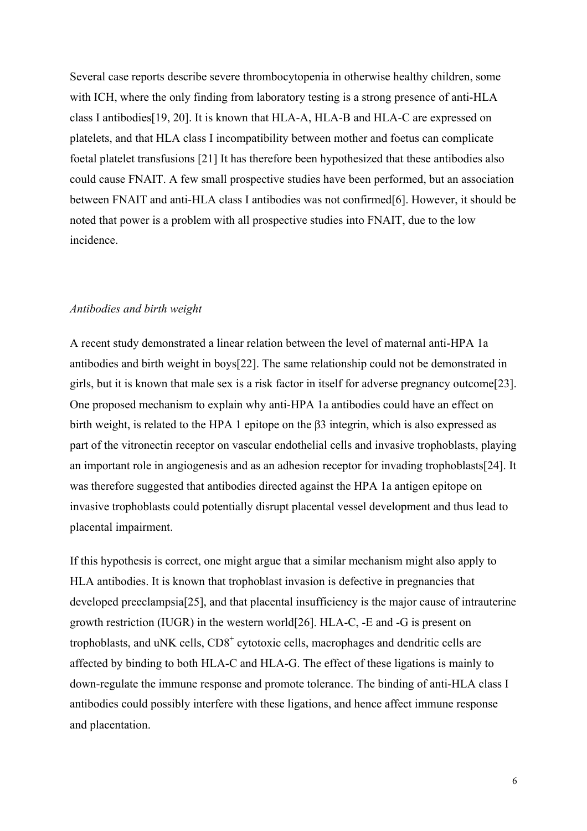Several case reports describe severe thrombocytopenia in otherwise healthy children, some with ICH, where the only finding from laboratory testing is a strong presence of anti-HLA class I antibodies[19, 20]. It is known that HLA-A, HLA-B and HLA-C are expressed on platelets, and that HLA class I incompatibility between mother and foetus can complicate foetal platelet transfusions [21] It has therefore been hypothesized that these antibodies also could cause FNAIT. A few small prospective studies have been performed, but an association between FNAIT and anti-HLA class I antibodies was not confirmed[6]. However, it should be noted that power is a problem with all prospective studies into FNAIT, due to the low incidence.

### *Antibodies and birth weight*

A recent study demonstrated a linear relation between the level of maternal anti-HPA 1a antibodies and birth weight in boys[22]. The same relationship could not be demonstrated in girls, but it is known that male sex is a risk factor in itself for adverse pregnancy outcome[23]. One proposed mechanism to explain why anti-HPA 1a antibodies could have an effect on birth weight, is related to the HPA 1 epitope on the β3 integrin, which is also expressed as part of the vitronectin receptor on vascular endothelial cells and invasive trophoblasts, playing an important role in angiogenesis and as an adhesion receptor for invading trophoblasts[24]. It was therefore suggested that antibodies directed against the HPA 1a antigen epitope on invasive trophoblasts could potentially disrupt placental vessel development and thus lead to placental impairment.

If this hypothesis is correct, one might argue that a similar mechanism might also apply to HLA antibodies. It is known that trophoblast invasion is defective in pregnancies that developed preeclampsia[25], and that placental insufficiency is the major cause of intrauterine growth restriction (IUGR) in the western world[26]. HLA-C, -E and -G is present on trophoblasts, and uNK cells, CD8<sup>+</sup> cytotoxic cells, macrophages and dendritic cells are affected by binding to both HLA-C and HLA-G. The effect of these ligations is mainly to down-regulate the immune response and promote tolerance. The binding of anti-HLA class I antibodies could possibly interfere with these ligations, and hence affect immune response and placentation.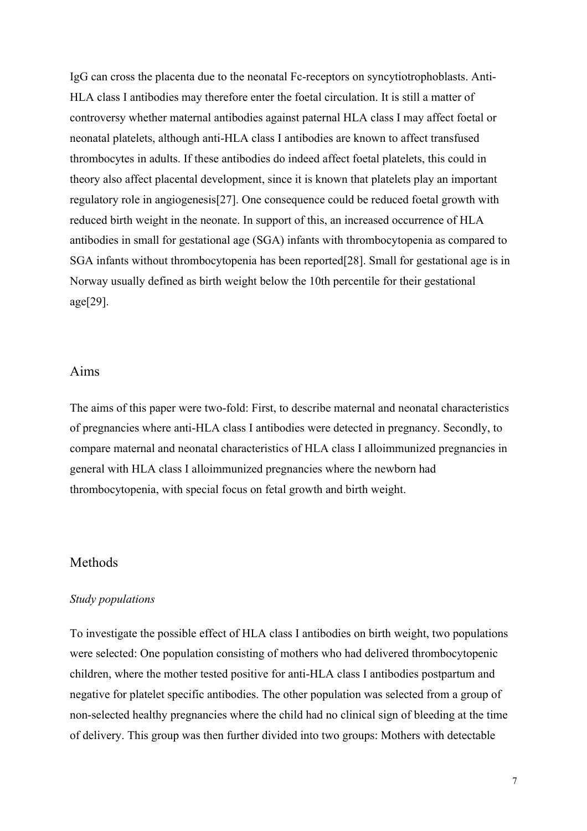IgG can cross the placenta due to the neonatal Fc-receptors on syncytiotrophoblasts. Anti-HLA class I antibodies may therefore enter the foetal circulation. It is still a matter of controversy whether maternal antibodies against paternal HLA class I may affect foetal or neonatal platelets, although anti-HLA class I antibodies are known to affect transfused thrombocytes in adults. If these antibodies do indeed affect foetal platelets, this could in theory also affect placental development, since it is known that platelets play an important regulatory role in angiogenesis[27]. One consequence could be reduced foetal growth with reduced birth weight in the neonate. In support of this, an increased occurrence of HLA antibodies in small for gestational age (SGA) infants with thrombocytopenia as compared to SGA infants without thrombocytopenia has been reported[28]. Small for gestational age is in Norway usually defined as birth weight below the 10th percentile for their gestational age[29].

### Aims

The aims of this paper were two-fold: First, to describe maternal and neonatal characteristics of pregnancies where anti-HLA class I antibodies were detected in pregnancy. Secondly, to compare maternal and neonatal characteristics of HLA class I alloimmunized pregnancies in general with HLA class I alloimmunized pregnancies where the newborn had thrombocytopenia, with special focus on fetal growth and birth weight.

## Methods

#### *Study populations*

To investigate the possible effect of HLA class I antibodies on birth weight, two populations were selected: One population consisting of mothers who had delivered thrombocytopenic children, where the mother tested positive for anti-HLA class I antibodies postpartum and negative for platelet specific antibodies. The other population was selected from a group of non-selected healthy pregnancies where the child had no clinical sign of bleeding at the time of delivery. This group was then further divided into two groups: Mothers with detectable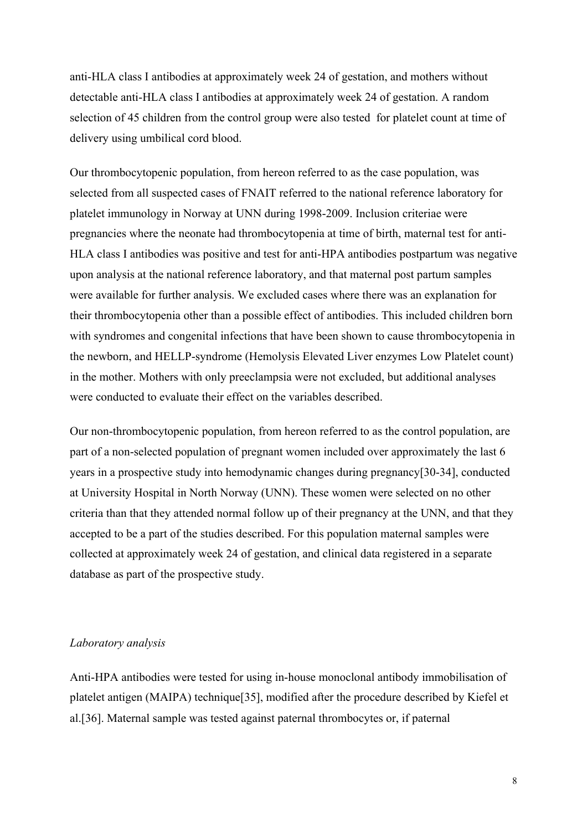anti-HLA class I antibodies at approximately week 24 of gestation, and mothers without detectable anti-HLA class I antibodies at approximately week 24 of gestation. A random selection of 45 children from the control group were also tested for platelet count at time of delivery using umbilical cord blood.

Our thrombocytopenic population, from hereon referred to as the case population, was selected from all suspected cases of FNAIT referred to the national reference laboratory for platelet immunology in Norway at UNN during 1998-2009. Inclusion criteriae were pregnancies where the neonate had thrombocytopenia at time of birth, maternal test for anti-HLA class I antibodies was positive and test for anti-HPA antibodies postpartum was negative upon analysis at the national reference laboratory, and that maternal post partum samples were available for further analysis. We excluded cases where there was an explanation for their thrombocytopenia other than a possible effect of antibodies. This included children born with syndromes and congenital infections that have been shown to cause thrombocytopenia in the newborn, and HELLP-syndrome (Hemolysis Elevated Liver enzymes Low Platelet count) in the mother. Mothers with only preeclampsia were not excluded, but additional analyses were conducted to evaluate their effect on the variables described.

Our non-thrombocytopenic population, from hereon referred to as the control population, are part of a non-selected population of pregnant women included over approximately the last 6 years in a prospective study into hemodynamic changes during pregnancy[30-34], conducted at University Hospital in North Norway (UNN). These women were selected on no other criteria than that they attended normal follow up of their pregnancy at the UNN, and that they accepted to be a part of the studies described. For this population maternal samples were collected at approximately week 24 of gestation, and clinical data registered in a separate database as part of the prospective study.

## *Laboratory analysis*

Anti-HPA antibodies were tested for using in-house monoclonal antibody immobilisation of platelet antigen (MAIPA) technique[35], modified after the procedure described by Kiefel et al.[36]. Maternal sample was tested against paternal thrombocytes or, if paternal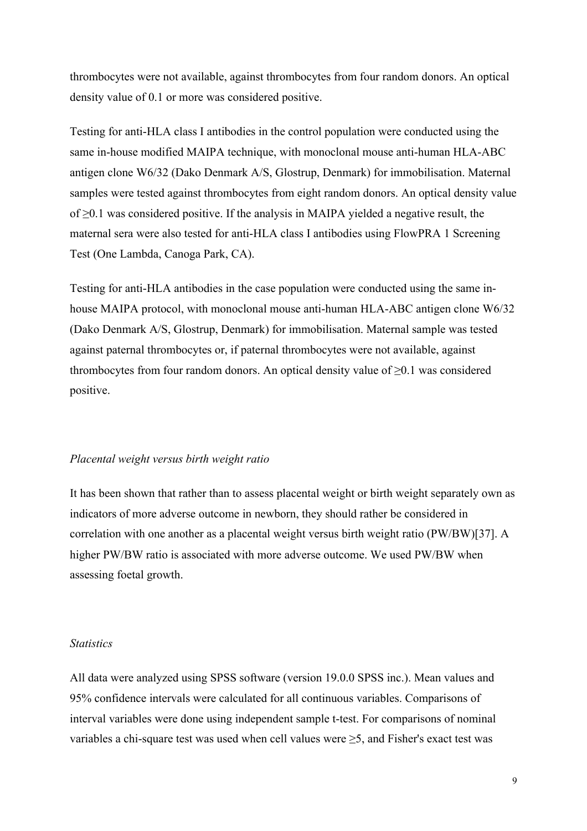thrombocytes were not available, against thrombocytes from four random donors. An optical density value of 0.1 or more was considered positive.

Testing for anti-HLA class I antibodies in the control population were conducted using the same in-house modified MAIPA technique, with monoclonal mouse anti-human HLA-ABC antigen clone W6/32 (Dako Denmark A/S, Glostrup, Denmark) for immobilisation. Maternal samples were tested against thrombocytes from eight random donors. An optical density value of ≥0.1 was considered positive. If the analysis in MAIPA yielded a negative result, the maternal sera were also tested for anti-HLA class I antibodies using FlowPRA 1 Screening Test (One Lambda, Canoga Park, CA).

Testing for anti-HLA antibodies in the case population were conducted using the same inhouse MAIPA protocol, with monoclonal mouse anti-human HLA-ABC antigen clone W6/32 (Dako Denmark A/S, Glostrup, Denmark) for immobilisation. Maternal sample was tested against paternal thrombocytes or, if paternal thrombocytes were not available, against thrombocytes from four random donors. An optical density value of  $\geq 0.1$  was considered positive.

## *Placental weight versus birth weight ratio*

It has been shown that rather than to assess placental weight or birth weight separately own as indicators of more adverse outcome in newborn, they should rather be considered in correlation with one another as a placental weight versus birth weight ratio (PW/BW)[37]. A higher PW/BW ratio is associated with more adverse outcome. We used PW/BW when assessing foetal growth.

## *Statistics*

All data were analyzed using SPSS software (version 19.0.0 SPSS inc.). Mean values and 95% confidence intervals were calculated for all continuous variables. Comparisons of interval variables were done using independent sample t-test. For comparisons of nominal variables a chi-square test was used when cell values were  $\geq$ 5, and Fisher's exact test was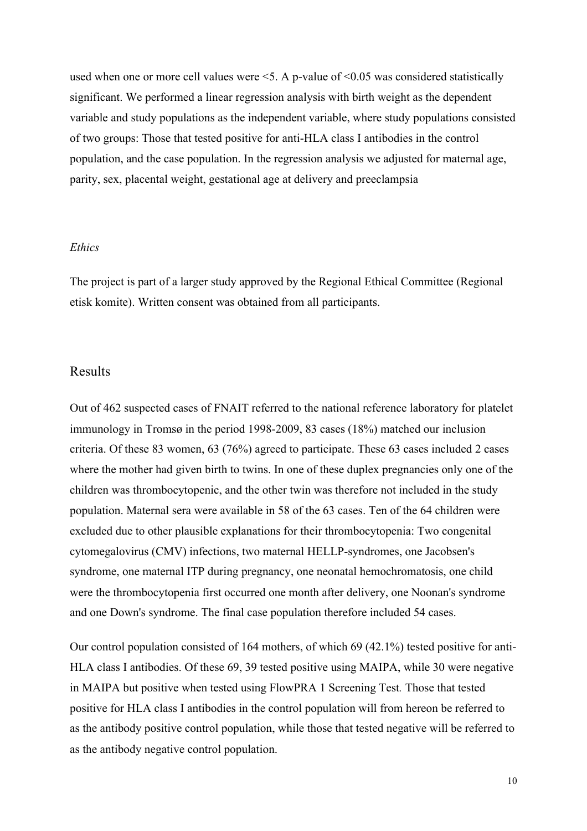used when one or more cell values were <5. A p-value of <0.05 was considered statistically significant. We performed a linear regression analysis with birth weight as the dependent variable and study populations as the independent variable, where study populations consisted of two groups: Those that tested positive for anti-HLA class I antibodies in the control population, and the case population. In the regression analysis we adjusted for maternal age, parity, sex, placental weight, gestational age at delivery and preeclampsia

## *Ethics*

The project is part of a larger study approved by the Regional Ethical Committee (Regional etisk komite). Written consent was obtained from all participants.

### Results

Out of 462 suspected cases of FNAIT referred to the national reference laboratory for platelet immunology in Tromsø in the period 1998-2009, 83 cases (18%) matched our inclusion criteria. Of these 83 women, 63 (76%) agreed to participate. These 63 cases included 2 cases where the mother had given birth to twins. In one of these duplex pregnancies only one of the children was thrombocytopenic, and the other twin was therefore not included in the study population. Maternal sera were available in 58 of the 63 cases. Ten of the 64 children were excluded due to other plausible explanations for their thrombocytopenia: Two congenital cytomegalovirus (CMV) infections, two maternal HELLP-syndromes, one Jacobsen's syndrome, one maternal ITP during pregnancy, one neonatal hemochromatosis, one child were the thrombocytopenia first occurred one month after delivery, one Noonan's syndrome and one Down's syndrome. The final case population therefore included 54 cases.

Our control population consisted of 164 mothers, of which 69 (42.1%) tested positive for anti-HLA class I antibodies. Of these 69, 39 tested positive using MAIPA, while 30 were negative in MAIPA but positive when tested using FlowPRA 1 Screening Test*.* Those that tested positive for HLA class I antibodies in the control population will from hereon be referred to as the antibody positive control population, while those that tested negative will be referred to as the antibody negative control population.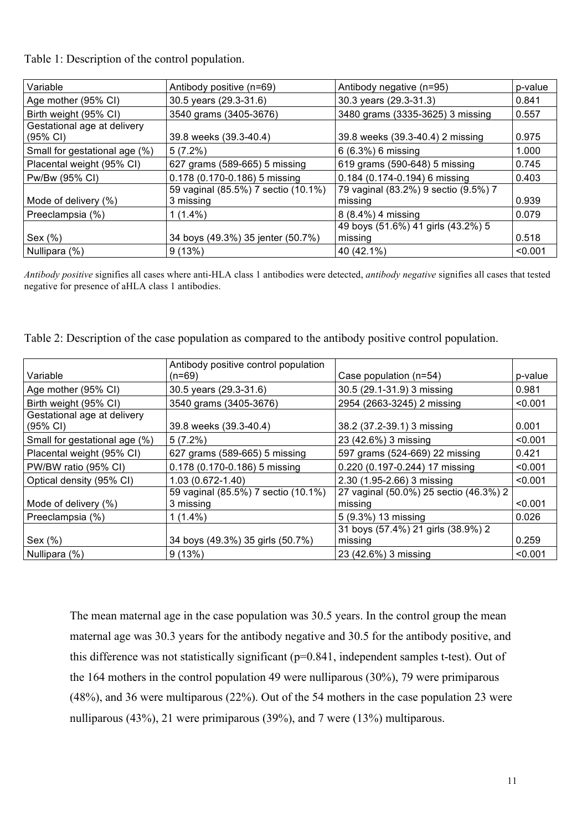Table 1: Description of the control population.

| Variable                                | Antibody positive (n=69)                         | Antibody negative (n=95)                        | p-value |
|-----------------------------------------|--------------------------------------------------|-------------------------------------------------|---------|
| Age mother (95% CI)                     | 30.5 years (29.3-31.6)                           | 30.3 years (29.3-31.3)                          | 0.841   |
| Birth weight (95% CI)                   | 3540 grams (3405-3676)                           | 3480 grams (3335-3625) 3 missing                | 0.557   |
| Gestational age at delivery<br>(95% CI) | 39.8 weeks (39.3-40.4)                           | 39.8 weeks (39.3-40.4) 2 missing                | 0.975   |
| Small for gestational age (%)           | $5(7.2\%)$                                       | 6 (6.3%) 6 missing                              | 1.000   |
| Placental weight (95% CI)               | 627 grams (589-665) 5 missing                    | 619 grams (590-648) 5 missing                   | 0.745   |
| Pw/Bw (95% CI)                          | 0.178 (0.170-0.186) 5 missing                    | 0.184 (0.174-0.194) 6 missing                   | 0.403   |
| Mode of delivery (%)                    | 59 vaginal (85.5%) 7 sectio (10.1%)<br>3 missing | 79 vaginal (83.2%) 9 sectio (9.5%) 7<br>missing | 0.939   |
| Preeclampsia (%)                        | $1(1.4\%)$                                       | 8 (8.4%) 4 missing                              | 0.079   |
|                                         |                                                  | 49 boys (51.6%) 41 girls (43.2%) 5              |         |
| Sex $(\%)$                              | 34 boys (49.3%) 35 jenter (50.7%)                | missing                                         | 0.518   |
| Nullipara (%)                           | 9(13%)                                           | 40 (42.1%)                                      | < 0.001 |

*Antibody positive* signifies all cases where anti-HLA class 1 antibodies were detected, *antibody negative* signifies all cases that tested negative for presence of aHLA class 1 antibodies.

| Table 2: Description of the case population as compared to the antibody positive control population. |  |  |
|------------------------------------------------------------------------------------------------------|--|--|
|                                                                                                      |  |  |

|                               | Antibody positive control population |                                        |         |
|-------------------------------|--------------------------------------|----------------------------------------|---------|
| Variable                      | $(n=69)$                             | Case population (n=54)                 | p-value |
| Age mother (95% CI)           | 30.5 years (29.3-31.6)               | 30.5 (29.1-31.9) 3 missing             | 0.981   |
| Birth weight (95% CI)         | 3540 grams (3405-3676)               | 2954 (2663-3245) 2 missing             | < 0.001 |
| Gestational age at delivery   |                                      |                                        |         |
| (95% CI)                      | 39.8 weeks (39.3-40.4)               | 38.2 (37.2-39.1) 3 missing             | 0.001   |
| Small for gestational age (%) | $5(7.2\%)$                           | 23 (42.6%) 3 missing                   | < 0.001 |
| Placental weight (95% CI)     | 627 grams (589-665) 5 missing        | 597 grams (524-669) 22 missing         | 0.421   |
| PW/BW ratio (95% CI)          | 0.178 (0.170-0.186) 5 missing        | 0.220 (0.197-0.244) 17 missing         | < 0.001 |
| Optical density (95% CI)      | 1.03 (0.672-1.40)                    | 2.30 (1.95-2.66) 3 missing             | < 0.001 |
|                               | 59 vaginal (85.5%) 7 sectio (10.1%)  | 27 vaginal (50.0%) 25 sectio (46.3%) 2 |         |
| Mode of delivery (%)          | 3 missing                            | missing                                | < 0.001 |
| Preeclampsia (%)              | $1(1.4\%)$                           | 5 (9.3%) 13 missing                    | 0.026   |
|                               |                                      | 31 boys (57.4%) 21 girls (38.9%) 2     |         |
| Sex $(\%)$                    | 34 boys (49.3%) 35 girls (50.7%)     | missing                                | 0.259   |
| Nullipara (%)                 | 9(13%)                               | 23 (42.6%) 3 missing                   | < 0.001 |

The mean maternal age in the case population was 30.5 years. In the control group the mean maternal age was 30.3 years for the antibody negative and 30.5 for the antibody positive, and this difference was not statistically significant (p=0.841, independent samples t-test). Out of the 164 mothers in the control population 49 were nulliparous (30%), 79 were primiparous (48%), and 36 were multiparous (22%). Out of the 54 mothers in the case population 23 were nulliparous (43%), 21 were primiparous (39%), and 7 were (13%) multiparous.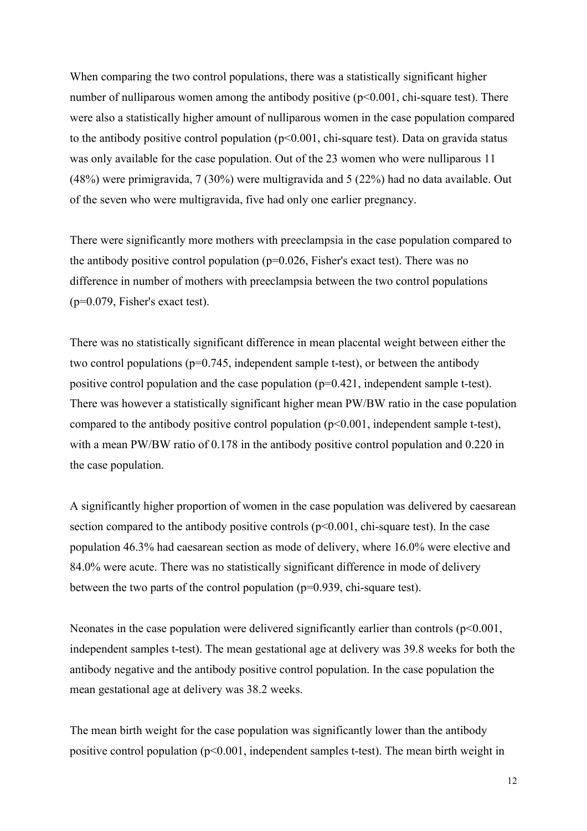When comparing the two control populations, there was a statistically significant higher number of nulliparous women among the antibody positive  $(p<0.001, chi$ -square test). There were also a statistically higher amount of nulliparous women in the case population compared to the antibody positive control population  $(p<0.001$ , chi-square test). Data on gravida status was only available for the case population. Out of the 23 women who were nulliparous 11 (48%) were primigravida, 7 (30%) were multigravida and 5 (22%) had no data available. Out of the seven who were multigravida, five had only one earlier pregnancy.

There were significantly more mothers with preeclampsia in the case population compared to the antibody positive control population (p=0.026, Fisher's exact test). There was no difference in number of mothers with preeclampsia between the two control populations (p=0.079, Fisher's exact test).

There was no statistically significant difference in mean placental weight between either the two control populations (p=0.745, independent sample t-test), or between the antibody positive control population and the case population (p=0.421, independent sample t-test). There was however a statistically significant higher mean PW/BW ratio in the case population compared to the antibody positive control population (p<0.001, independent sample t-test), with a mean PW/BW ratio of 0.178 in the antibody positive control population and 0.220 in the case population.

A significantly higher proportion of women in the case population was delivered by caesarean section compared to the antibody positive controls  $(p<0.001$ , chi-square test). In the case population 46.3% had caesarean section as mode of delivery, where 16.0% were elective and 84.0% were acute. There was no statistically significant difference in mode of delivery between the two parts of the control population (p=0.939, chi-square test).

Neonates in the case population were delivered significantly earlier than controls  $(p<0.001,$ independent samples t-test). The mean gestational age at delivery was 39.8 weeks for both the antibody negative and the antibody positive control population. In the case population the mean gestational age at delivery was 38.2 weeks.

The mean birth weight for the case population was significantly lower than the antibody positive control population  $(p<0.001$ , independent samples t-test). The mean birth weight in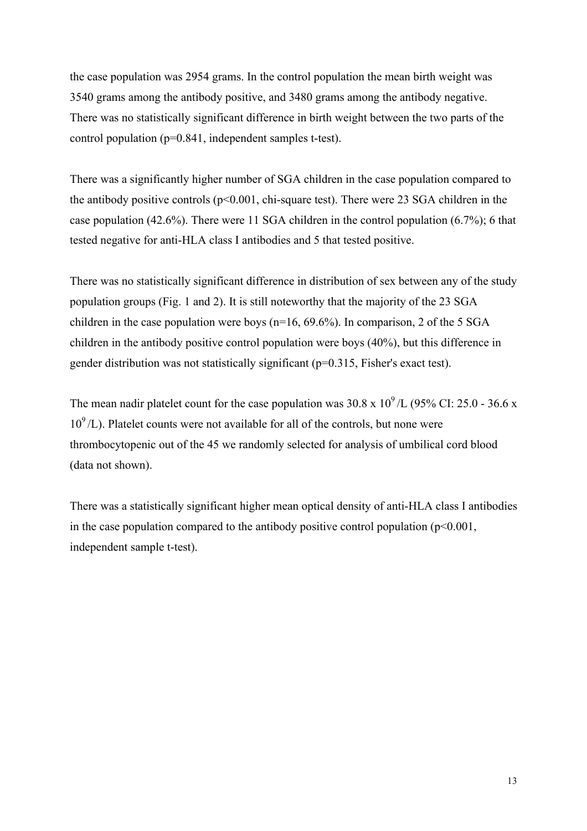the case population was 2954 grams. In the control population the mean birth weight was 3540 grams among the antibody positive, and 3480 grams among the antibody negative. There was no statistically significant difference in birth weight between the two parts of the control population (p=0.841, independent samples t-test).

There was a significantly higher number of SGA children in the case population compared to the antibody positive controls  $(p<0.001$ , chi-square test). There were 23 SGA children in the case population (42.6%). There were 11 SGA children in the control population (6.7%); 6 that tested negative for anti-HLA class I antibodies and 5 that tested positive.

There was no statistically significant difference in distribution of sex between any of the study population groups (Fig. 1 and 2). It is still noteworthy that the majority of the 23 SGA children in the case population were boys ( $n=16$ ,  $69.6\%$ ). In comparison, 2 of the 5 SGA children in the antibody positive control population were boys (40%), but this difference in gender distribution was not statistically significant (p=0.315, Fisher's exact test).

The mean nadir platelet count for the case population was  $30.8 \times 10^9$  /L (95% CI: 25.0 - 36.6 x  $10^9$ /L). Platelet counts were not available for all of the controls, but none were thrombocytopenic out of the 45 we randomly selected for analysis of umbilical cord blood (data not shown).

There was a statistically significant higher mean optical density of anti-HLA class I antibodies in the case population compared to the antibody positive control population  $(p<0.001,$ independent sample t-test).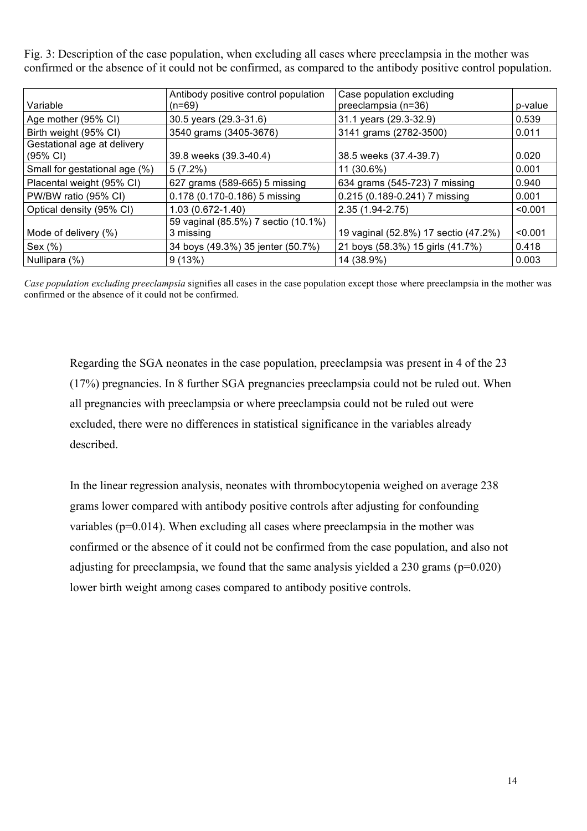Fig. 3: Description of the case population, when excluding all cases where preeclampsia in the mother was confirmed or the absence of it could not be confirmed, as compared to the antibody positive control population.

| Variable                                          | Antibody positive control population<br>$(n=69)$ | Case population excluding<br>preeclampsia (n=36) | p-value |
|---------------------------------------------------|--------------------------------------------------|--------------------------------------------------|---------|
| Age mother (95% CI)                               | 30.5 years (29.3-31.6)                           | 31.1 years (29.3-32.9)                           | 0.539   |
| Birth weight (95% CI)                             | 3540 grams (3405-3676)                           | 3141 grams (2782-3500)                           | 0.011   |
| Gestational age at delivery<br>$(95% \text{ Cl})$ | 39.8 weeks (39.3-40.4)                           | 38.5 weeks (37.4-39.7)                           | 0.020   |
| Small for gestational age (%)                     | $5(7.2\%)$                                       | 11 (30.6%)                                       | 0.001   |
| Placental weight (95% CI)                         | 627 grams (589-665) 5 missing                    | 634 grams (545-723) 7 missing                    | 0.940   |
| PW/BW ratio (95% CI)                              | 0.178 (0.170-0.186) 5 missing                    | 0.215 (0.189-0.241) 7 missing                    | 0.001   |
| Optical density (95% CI)                          | $1.03(0.672 - 1.40)$                             | 2.35 (1.94-2.75)                                 | < 0.001 |
|                                                   | 59 vaginal (85.5%) 7 sectio (10.1%)              |                                                  |         |
| Mode of delivery (%)                              | 3 missing                                        | 19 vaginal (52.8%) 17 sectio (47.2%)             | < 0.001 |
| Sex $(\%)$                                        | 34 boys (49.3%) 35 jenter (50.7%)                | 21 boys (58.3%) 15 girls (41.7%)                 | 0.418   |
| Nullipara (%)                                     | 9(13%)                                           | 14 (38.9%)                                       | 0.003   |

*Case population excluding preeclampsia* signifies all cases in the case population except those where preeclampsia in the mother was confirmed or the absence of it could not be confirmed.

Regarding the SGA neonates in the case population, preeclampsia was present in 4 of the 23 (17%) pregnancies. In 8 further SGA pregnancies preeclampsia could not be ruled out. When all pregnancies with preeclampsia or where preeclampsia could not be ruled out were excluded, there were no differences in statistical significance in the variables already described.

In the linear regression analysis, neonates with thrombocytopenia weighed on average 238 grams lower compared with antibody positive controls after adjusting for confounding variables (p=0.014). When excluding all cases where preeclampsia in the mother was confirmed or the absence of it could not be confirmed from the case population, and also not adjusting for preeclampsia, we found that the same analysis yielded a  $230$  grams ( $p=0.020$ ) lower birth weight among cases compared to antibody positive controls.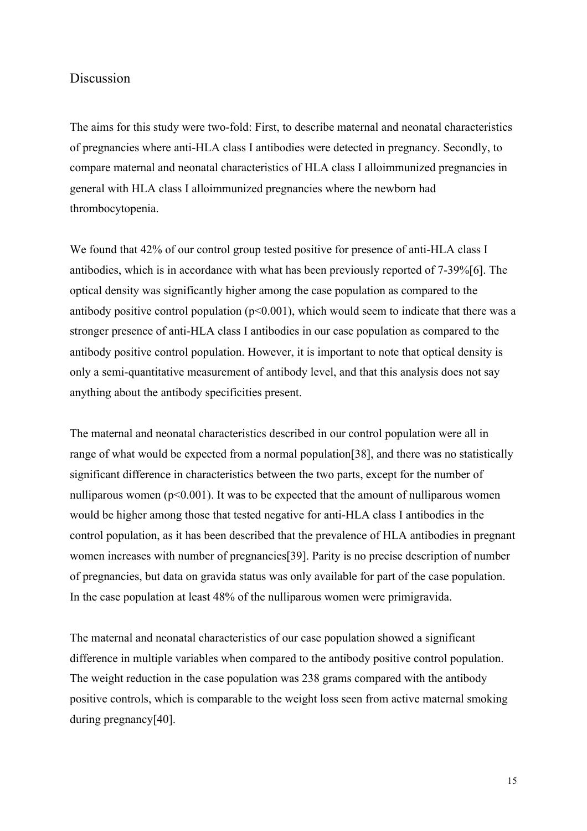## Discussion

The aims for this study were two-fold: First, to describe maternal and neonatal characteristics of pregnancies where anti-HLA class I antibodies were detected in pregnancy. Secondly, to compare maternal and neonatal characteristics of HLA class I alloimmunized pregnancies in general with HLA class I alloimmunized pregnancies where the newborn had thrombocytopenia.

We found that 42% of our control group tested positive for presence of anti-HLA class I antibodies, which is in accordance with what has been previously reported of 7-39%[6]. The optical density was significantly higher among the case population as compared to the antibody positive control population  $(p<0.001)$ , which would seem to indicate that there was a stronger presence of anti-HLA class I antibodies in our case population as compared to the antibody positive control population. However, it is important to note that optical density is only a semi-quantitative measurement of antibody level, and that this analysis does not say anything about the antibody specificities present.

The maternal and neonatal characteristics described in our control population were all in range of what would be expected from a normal population[38], and there was no statistically significant difference in characteristics between the two parts, except for the number of nulliparous women ( $p<0.001$ ). It was to be expected that the amount of nulliparous women would be higher among those that tested negative for anti-HLA class I antibodies in the control population, as it has been described that the prevalence of HLA antibodies in pregnant women increases with number of pregnancies[39]. Parity is no precise description of number of pregnancies, but data on gravida status was only available for part of the case population. In the case population at least 48% of the nulliparous women were primigravida.

The maternal and neonatal characteristics of our case population showed a significant difference in multiple variables when compared to the antibody positive control population. The weight reduction in the case population was 238 grams compared with the antibody positive controls, which is comparable to the weight loss seen from active maternal smoking during pregnancy[40].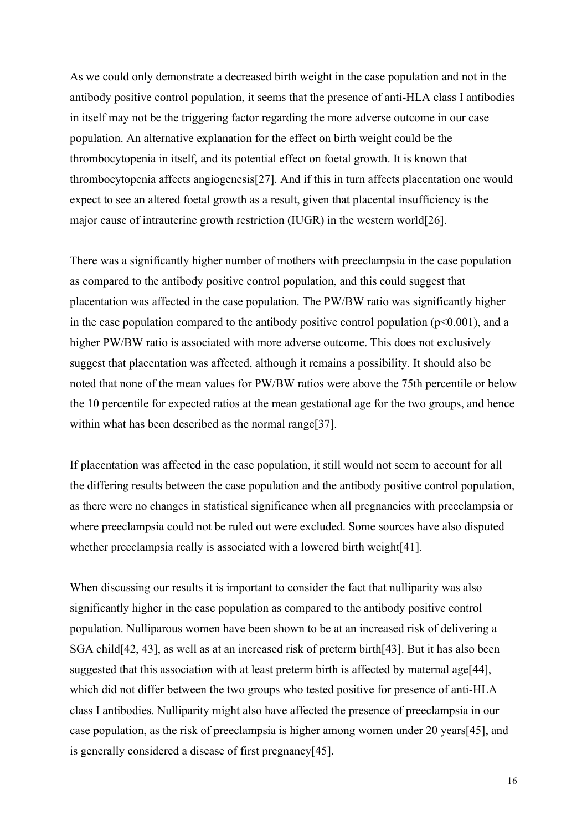As we could only demonstrate a decreased birth weight in the case population and not in the antibody positive control population, it seems that the presence of anti-HLA class I antibodies in itself may not be the triggering factor regarding the more adverse outcome in our case population. An alternative explanation for the effect on birth weight could be the thrombocytopenia in itself, and its potential effect on foetal growth. It is known that thrombocytopenia affects angiogenesis[27]. And if this in turn affects placentation one would expect to see an altered foetal growth as a result, given that placental insufficiency is the major cause of intrauterine growth restriction (IUGR) in the western world[26].

There was a significantly higher number of mothers with preeclampsia in the case population as compared to the antibody positive control population, and this could suggest that placentation was affected in the case population. The PW/BW ratio was significantly higher in the case population compared to the antibody positive control population  $(p<0.001)$ , and a higher PW/BW ratio is associated with more adverse outcome. This does not exclusively suggest that placentation was affected, although it remains a possibility. It should also be noted that none of the mean values for PW/BW ratios were above the 75th percentile or below the 10 percentile for expected ratios at the mean gestational age for the two groups, and hence within what has been described as the normal range[37].

If placentation was affected in the case population, it still would not seem to account for all the differing results between the case population and the antibody positive control population, as there were no changes in statistical significance when all pregnancies with preeclampsia or where preeclampsia could not be ruled out were excluded. Some sources have also disputed whether preeclampsia really is associated with a lowered birth weight[41].

When discussing our results it is important to consider the fact that nulliparity was also significantly higher in the case population as compared to the antibody positive control population. Nulliparous women have been shown to be at an increased risk of delivering a SGA child[42, 43], as well as at an increased risk of preterm birth[43]. But it has also been suggested that this association with at least preterm birth is affected by maternal age[44], which did not differ between the two groups who tested positive for presence of anti-HLA class I antibodies. Nulliparity might also have affected the presence of preeclampsia in our case population, as the risk of preeclampsia is higher among women under 20 years[45], and is generally considered a disease of first pregnancy[45].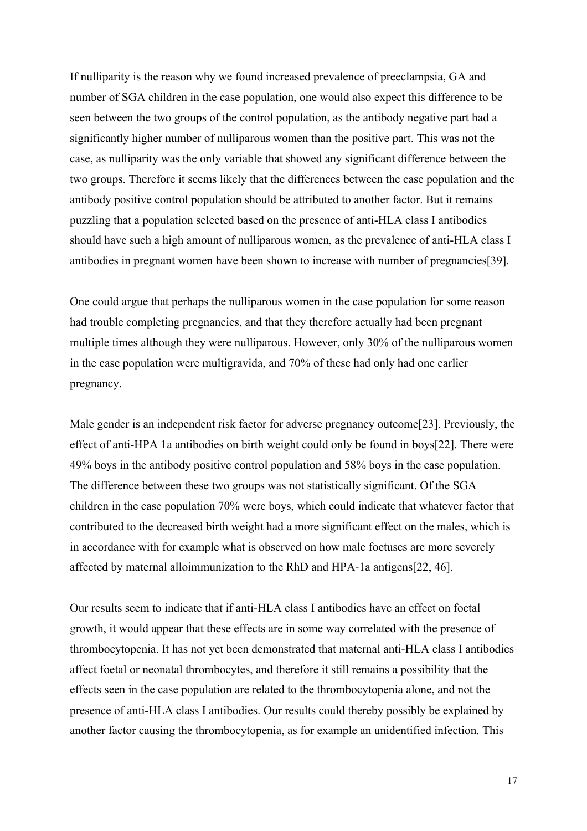If nulliparity is the reason why we found increased prevalence of preeclampsia, GA and number of SGA children in the case population, one would also expect this difference to be seen between the two groups of the control population, as the antibody negative part had a significantly higher number of nulliparous women than the positive part. This was not the case, as nulliparity was the only variable that showed any significant difference between the two groups. Therefore it seems likely that the differences between the case population and the antibody positive control population should be attributed to another factor. But it remains puzzling that a population selected based on the presence of anti-HLA class I antibodies should have such a high amount of nulliparous women, as the prevalence of anti-HLA class I antibodies in pregnant women have been shown to increase with number of pregnancies[39].

One could argue that perhaps the nulliparous women in the case population for some reason had trouble completing pregnancies, and that they therefore actually had been pregnant multiple times although they were nulliparous. However, only 30% of the nulliparous women in the case population were multigravida, and 70% of these had only had one earlier pregnancy.

Male gender is an independent risk factor for adverse pregnancy outcome<sup>[23]</sup>. Previously, the effect of anti-HPA 1a antibodies on birth weight could only be found in boys[22]. There were 49% boys in the antibody positive control population and 58% boys in the case population. The difference between these two groups was not statistically significant. Of the SGA children in the case population 70% were boys, which could indicate that whatever factor that contributed to the decreased birth weight had a more significant effect on the males, which is in accordance with for example what is observed on how male foetuses are more severely affected by maternal alloimmunization to the RhD and HPA-1a antigens[22, 46].

Our results seem to indicate that if anti-HLA class I antibodies have an effect on foetal growth, it would appear that these effects are in some way correlated with the presence of thrombocytopenia. It has not yet been demonstrated that maternal anti-HLA class I antibodies affect foetal or neonatal thrombocytes, and therefore it still remains a possibility that the effects seen in the case population are related to the thrombocytopenia alone, and not the presence of anti-HLA class I antibodies. Our results could thereby possibly be explained by another factor causing the thrombocytopenia, as for example an unidentified infection. This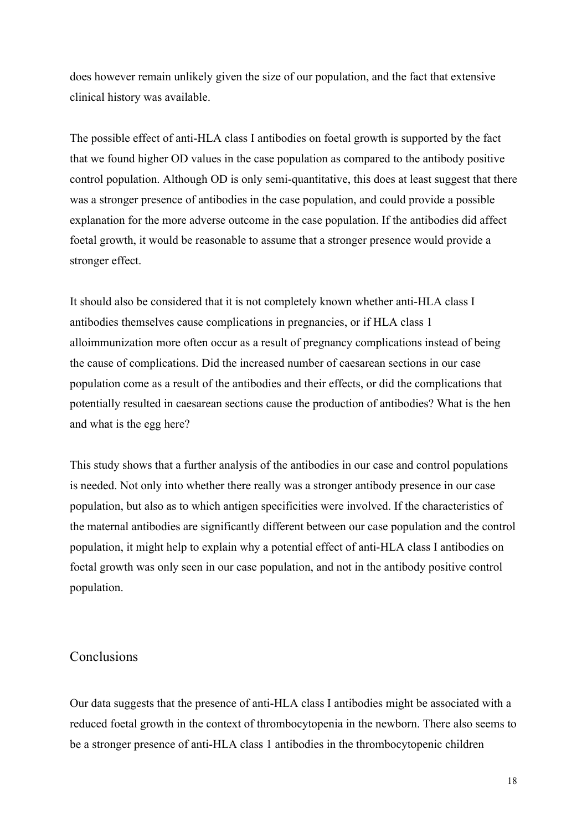does however remain unlikely given the size of our population, and the fact that extensive clinical history was available.

The possible effect of anti-HLA class I antibodies on foetal growth is supported by the fact that we found higher OD values in the case population as compared to the antibody positive control population. Although OD is only semi-quantitative, this does at least suggest that there was a stronger presence of antibodies in the case population, and could provide a possible explanation for the more adverse outcome in the case population. If the antibodies did affect foetal growth, it would be reasonable to assume that a stronger presence would provide a stronger effect.

It should also be considered that it is not completely known whether anti-HLA class I antibodies themselves cause complications in pregnancies, or if HLA class 1 alloimmunization more often occur as a result of pregnancy complications instead of being the cause of complications. Did the increased number of caesarean sections in our case population come as a result of the antibodies and their effects, or did the complications that potentially resulted in caesarean sections cause the production of antibodies? What is the hen and what is the egg here?

This study shows that a further analysis of the antibodies in our case and control populations is needed. Not only into whether there really was a stronger antibody presence in our case population, but also as to which antigen specificities were involved. If the characteristics of the maternal antibodies are significantly different between our case population and the control population, it might help to explain why a potential effect of anti-HLA class I antibodies on foetal growth was only seen in our case population, and not in the antibody positive control population.

## Conclusions

Our data suggests that the presence of anti-HLA class I antibodies might be associated with a reduced foetal growth in the context of thrombocytopenia in the newborn. There also seems to be a stronger presence of anti-HLA class 1 antibodies in the thrombocytopenic children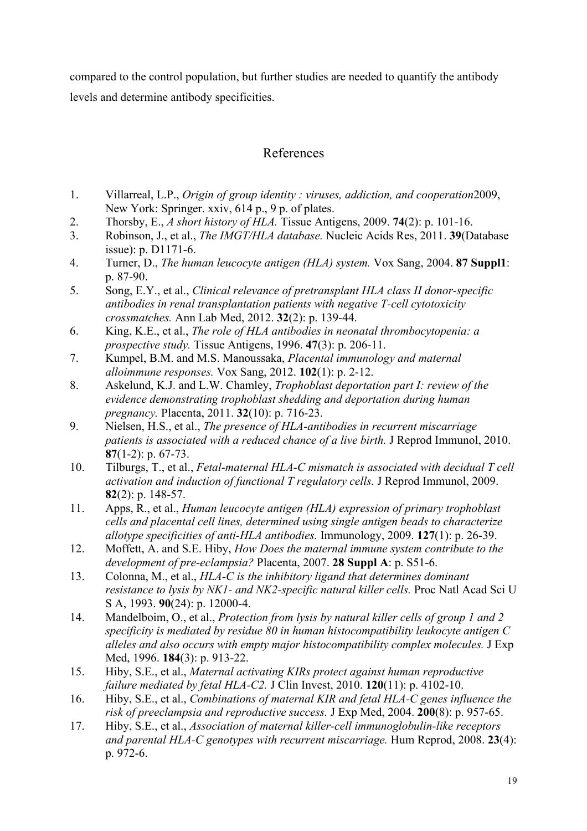compared to the control population, but further studies are needed to quantify the antibody levels and determine antibody specificities.

## References

- 1. Villarreal, L.P., *Origin of group identity : viruses, addiction, and cooperation*2009, New York: Springer. xxiv, 614 p., 9 p. of plates.
- 2. Thorsby, E., *A short history of HLA.* Tissue Antigens, 2009. **74**(2): p. 101-16.
- 3. Robinson, J., et al., *The IMGT/HLA database.* Nucleic Acids Res, 2011. **39**(Database issue): p. D1171-6.
- 4. Turner, D., *The human leucocyte antigen (HLA) system.* Vox Sang, 2004. **87 Suppl1**: p. 87-90.
- 5. Song, E.Y., et al., *Clinical relevance of pretransplant HLA class II donor-specific antibodies in renal transplantation patients with negative T-cell cytotoxicity crossmatches.* Ann Lab Med, 2012. **32**(2): p. 139-44.
- 6. King, K.E., et al., *The role of HLA antibodies in neonatal thrombocytopenia: a prospective study.* Tissue Antigens, 1996. **47**(3): p. 206-11.
- 7. Kumpel, B.M. and M.S. Manoussaka, *Placental immunology and maternal alloimmune responses.* Vox Sang, 2012. **102**(1): p. 2-12.
- 8. Askelund, K.J. and L.W. Chamley, *Trophoblast deportation part I: review of the evidence demonstrating trophoblast shedding and deportation during human pregnancy.* Placenta, 2011. **32**(10): p. 716-23.
- 9. Nielsen, H.S., et al., *The presence of HLA-antibodies in recurrent miscarriage patients is associated with a reduced chance of a live birth.* J Reprod Immunol, 2010. **87**(1-2): p. 67-73.
- 10. Tilburgs, T., et al., *Fetal-maternal HLA-C mismatch is associated with decidual T cell activation and induction of functional T regulatory cells.* J Reprod Immunol, 2009. **82**(2): p. 148-57.
- 11. Apps, R., et al., *Human leucocyte antigen (HLA) expression of primary trophoblast cells and placental cell lines, determined using single antigen beads to characterize allotype specificities of anti-HLA antibodies.* Immunology, 2009. **127**(1): p. 26-39.
- 12. Moffett, A. and S.E. Hiby, *How Does the maternal immune system contribute to the development of pre-eclampsia?* Placenta, 2007. **28 Suppl A**: p. S51-6.
- 13. Colonna, M., et al., *HLA-C is the inhibitory ligand that determines dominant resistance to lysis by NK1- and NK2-specific natural killer cells.* Proc Natl Acad Sci U S A, 1993. **90**(24): p. 12000-4.
- 14. Mandelboim, O., et al., *Protection from lysis by natural killer cells of group 1 and 2 specificity is mediated by residue 80 in human histocompatibility leukocyte antigen C alleles and also occurs with empty major histocompatibility complex molecules.* J Exp Med, 1996. **184**(3): p. 913-22.
- 15. Hiby, S.E., et al., *Maternal activating KIRs protect against human reproductive failure mediated by fetal HLA-C2.* J Clin Invest, 2010. **120**(11): p. 4102-10.
- 16. Hiby, S.E., et al., *Combinations of maternal KIR and fetal HLA-C genes influence the risk of preeclampsia and reproductive success.* J Exp Med, 2004. **200**(8): p. 957-65.
- 17. Hiby, S.E., et al., *Association of maternal killer-cell immunoglobulin-like receptors and parental HLA-C genotypes with recurrent miscarriage.* Hum Reprod, 2008. **23**(4): p. 972-6.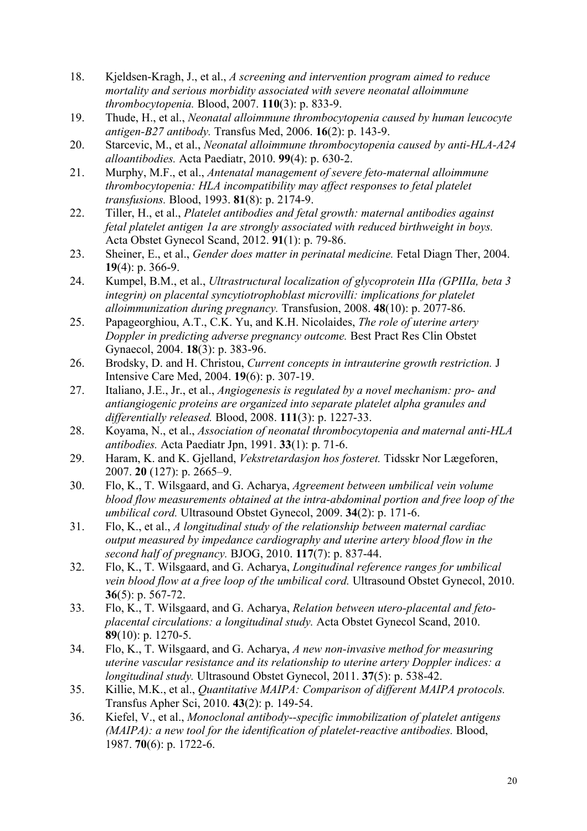- 18. Kjeldsen-Kragh, J., et al., *A screening and intervention program aimed to reduce mortality and serious morbidity associated with severe neonatal alloimmune thrombocytopenia.* Blood, 2007. **110**(3): p. 833-9.
- 19. Thude, H., et al., *Neonatal alloimmune thrombocytopenia caused by human leucocyte antigen-B27 antibody.* Transfus Med, 2006. **16**(2): p. 143-9.
- 20. Starcevic, M., et al., *Neonatal alloimmune thrombocytopenia caused by anti-HLA-A24 alloantibodies.* Acta Paediatr, 2010. **99**(4): p. 630-2.
- 21. Murphy, M.F., et al., *Antenatal management of severe feto-maternal alloimmune thrombocytopenia: HLA incompatibility may affect responses to fetal platelet transfusions.* Blood, 1993. **81**(8): p. 2174-9.
- 22. Tiller, H., et al., *Platelet antibodies and fetal growth: maternal antibodies against fetal platelet antigen 1a are strongly associated with reduced birthweight in boys.* Acta Obstet Gynecol Scand, 2012. **91**(1): p. 79-86.
- 23. Sheiner, E., et al., *Gender does matter in perinatal medicine.* Fetal Diagn Ther, 2004. **19**(4): p. 366-9.
- 24. Kumpel, B.M., et al., *Ultrastructural localization of glycoprotein IIIa (GPIIIa, beta 3*  integrin) on placental syncytiotrophoblast microvilli: implications for platelet *alloimmunization during pregnancy.* Transfusion, 2008. **48**(10): p. 2077-86.
- 25. Papageorghiou, A.T., C.K. Yu, and K.H. Nicolaides, *The role of uterine artery Doppler in predicting adverse pregnancy outcome.* Best Pract Res Clin Obstet Gynaecol, 2004. **18**(3): p. 383-96.
- 26. Brodsky, D. and H. Christou, *Current concepts in intrauterine growth restriction.* J Intensive Care Med, 2004. **19**(6): p. 307-19.
- 27. Italiano, J.E., Jr., et al., *Angiogenesis is regulated by a novel mechanism: pro- and antiangiogenic proteins are organized into separate platelet alpha granules and differentially released.* Blood, 2008. **111**(3): p. 1227-33.
- 28. Koyama, N., et al., *Association of neonatal thrombocytopenia and maternal anti-HLA antibodies.* Acta Paediatr Jpn, 1991. **33**(1): p. 71-6.
- 29. Haram, K. and K. Gjelland, *Vekstretardasjon hos fosteret.* Tidsskr Nor Lægeforen, 2007. **20** (127): p. 2665–9.
- 30. Flo, K., T. Wilsgaard, and G. Acharya, *Agreement between umbilical vein volume blood flow measurements obtained at the intra-abdominal portion and free loop of the umbilical cord.* Ultrasound Obstet Gynecol, 2009. **34**(2): p. 171-6.
- 31. Flo, K., et al., *A longitudinal study of the relationship between maternal cardiac output measured by impedance cardiography and uterine artery blood flow in the second half of pregnancy.* BJOG, 2010. **117**(7): p. 837-44.
- 32. Flo, K., T. Wilsgaard, and G. Acharya, *Longitudinal reference ranges for umbilical vein blood flow at a free loop of the umbilical cord.* Ultrasound Obstet Gynecol, 2010. **36**(5): p. 567-72.
- 33. Flo, K., T. Wilsgaard, and G. Acharya, *Relation between utero-placental and fetoplacental circulations: a longitudinal study.* Acta Obstet Gynecol Scand, 2010. **89**(10): p. 1270-5.
- 34. Flo, K., T. Wilsgaard, and G. Acharya, *A new non-invasive method for measuring uterine vascular resistance and its relationship to uterine artery Doppler indices: a longitudinal study.* Ultrasound Obstet Gynecol, 2011. **37**(5): p. 538-42.
- 35. Killie, M.K., et al., *Quantitative MAIPA: Comparison of different MAIPA protocols.* Transfus Apher Sci, 2010. **43**(2): p. 149-54.
- 36. Kiefel, V., et al., *Monoclonal antibody--specific immobilization of platelet antigens (MAIPA): a new tool for the identification of platelet-reactive antibodies.* Blood, 1987. **70**(6): p. 1722-6.